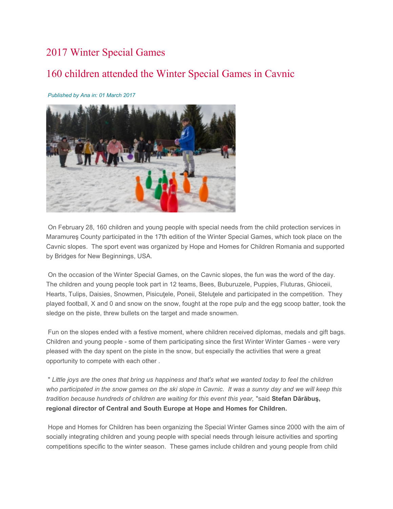## 2017 Winter Special Games

## 160 children attended the Winter Special Games in Cavnic

## Published by Ana in: 01 March 2017



 On February 28, 160 children and young people with special needs from the child protection services in Maramureş County participated in the 17th edition of the Winter Special Games, which took place on the Cavnic slopes. The sport event was organized by Hope and Homes for Children Romania and supported by Bridges for New Beginnings, USA.

 On the occasion of the Winter Special Games, on the Cavnic slopes, the fun was the word of the day. The children and young people took part in 12 teams, Bees, Buburuzele, Puppies, Fluturas, Ghioceii, Hearts, Tulips, Daisies, Snowmen, Pisicuţele, Poneii, Steluţele and participated in the competition. They played football, X and 0 and snow on the snow, fought at the rope pulp and the egg scoop batter, took the sledge on the piste, threw bullets on the target and made snowmen.

 Fun on the slopes ended with a festive moment, where children received diplomas, medals and gift bags. Children and young people - some of them participating since the first Winter Winter Games - were very pleased with the day spent on the piste in the snow, but especially the activities that were a great opportunity to compete with each other .

 " Little joys are the ones that bring us happiness and that's what we wanted today to feel the children who participated in the snow games on the ski slope in Cavnic. It was a sunny day and we will keep this tradition because hundreds of children are waiting for this event this year, "said Stefan Dărăbuş, regional director of Central and South Europe at Hope and Homes for Children.

 Hope and Homes for Children has been organizing the Special Winter Games since 2000 with the aim of socially integrating children and young people with special needs through leisure activities and sporting competitions specific to the winter season. These games include children and young people from child